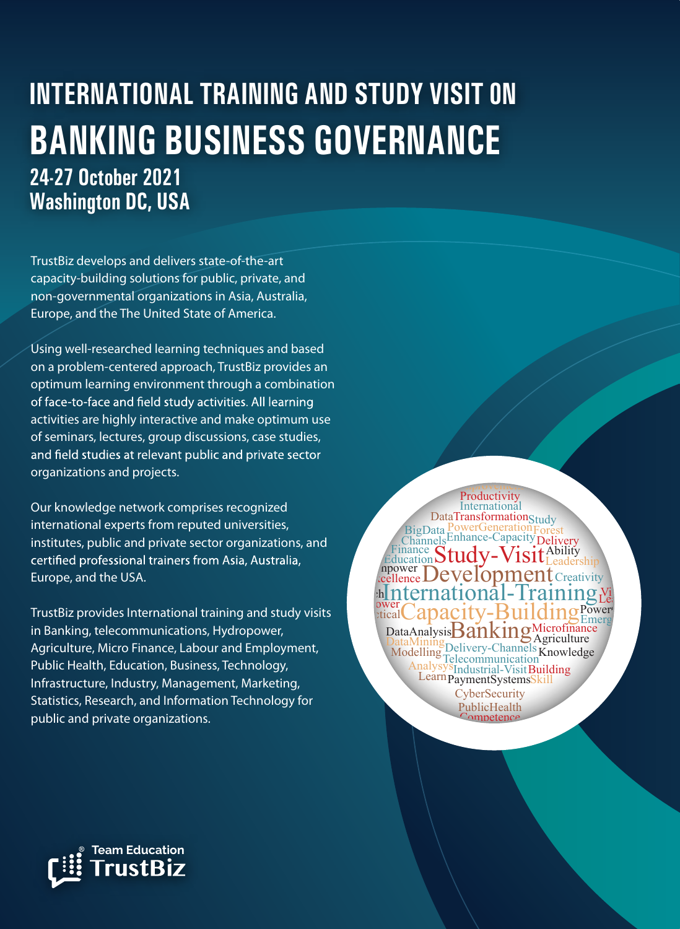# **INTERNATIONAL TRAINING AND STUDY VISIT 0N BANKING BUSINESS GOVERNANCE 24-27 October 2021 Washington DC, USA**

International-Training

 $\frac{P_{\text{overall}}}{P_{\text{E}}P_{\text{pred}}}$ Capacity-Building  $P_{\text{E}}^{P_{\text{lower}}}$ 

Modelling Delivery-Channels Knowledge **Telecommunication** 

Analysys Industrial-Visit Building

**CyberSecurity** 

PublicHealth

Management

mnetence

Learn PaymentSystemsSkill

Capacity Dunum SEmerg<br>DataAnalysis Banking Microfinance

Agriculture

**Creativity** 

 $\mathbf{L}$ earning

 $V_1$ 

Leadership

Ability

Development

Enhance-Capacity

Channels Enhance-Capacity Delivery

**PowerGeneration** 

BigData PowerGeneration Forest

DataTransformation<sub>Study</sub>

International Productivity

**Improvement** 

Education Study-Visit

DataMining

cellence l

**h** nterna

npower Finance

**Hydropower** 

TrustBiz develops and delivers state-of-the-art capacity-building solutions for public, private, and non-governmental organizations in Asia, Australia, Europe, and the The United State of America.

Using well-researched learning techniques and based on a problem-centered approach, TrustBiz provides an optimum learning environment through a combination of face-to-face and field study activities. All learning activities are highly interactive and make optimum use of seminars, lectures, group discussions, case studies, and field studies at relevant public and private sector organizations and projects.

Our knowledge network comprises recognized international experts from reputed universities, institutes, public and private sector organizations, and certified professional trainers from Asia, Australia, Europe, and the USA.

TrustBiz provides International training and study visits in Banking, telecommunications, Hydropower, Agriculture, Micro Finance, Labour and Employment, Public Health, Education, Business, Technology, Infrastructure, Industry, Management, Marketing, Statistics, Research, and Information Technology for public and private organizations.

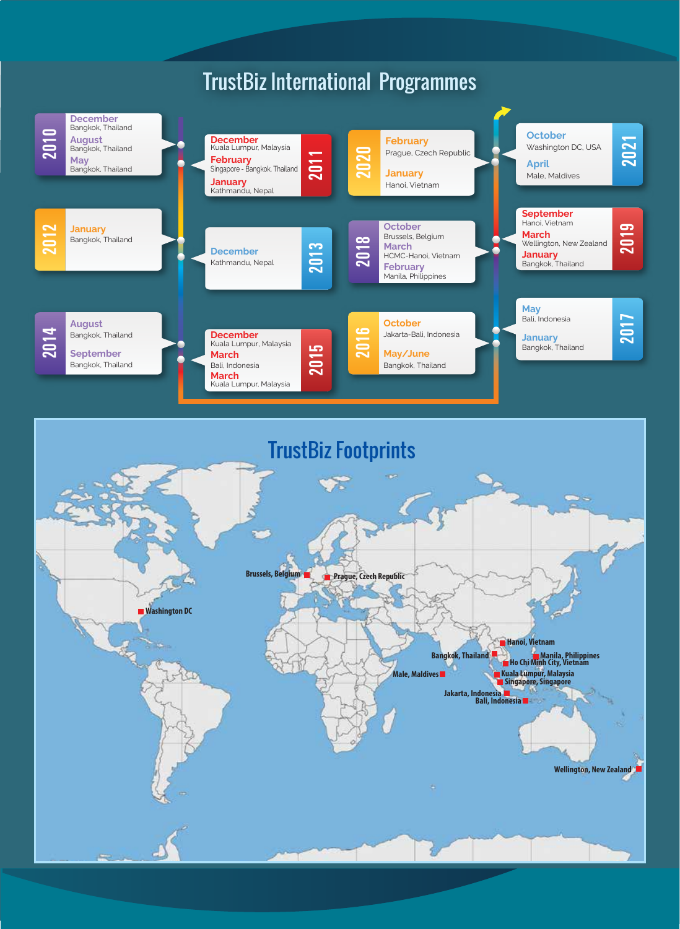## TrustBiz International Programmes



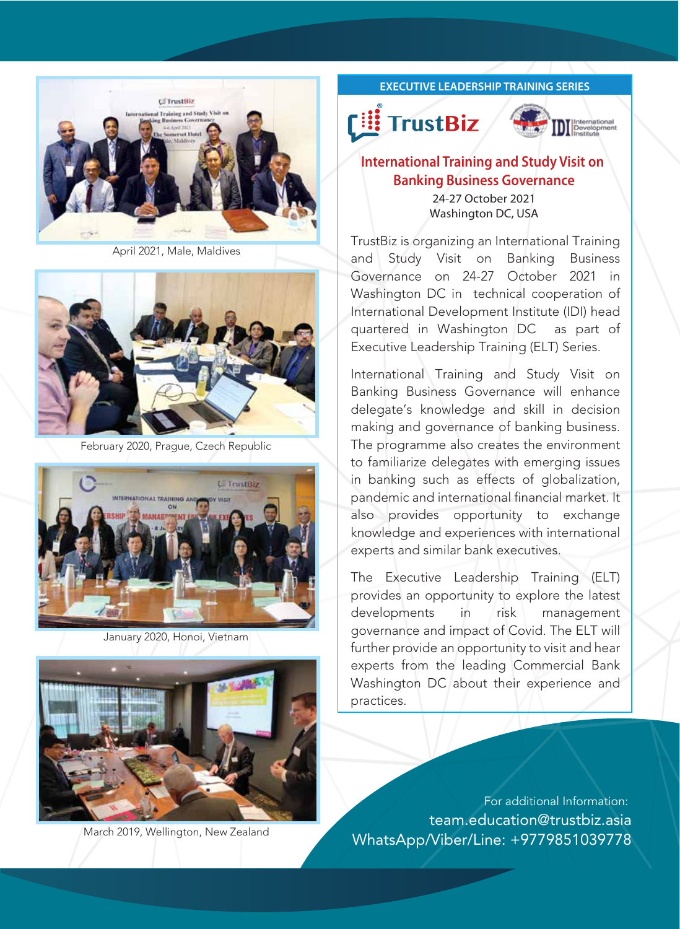

April 2021, Male, Maldives



February 2020, Prague, Czech Republic



January 2020, Honoi, Vietnam



#### **EXECUTIVE LEADERSHIP TRAINING SERIES**





#### **International Training and Study Visit on Banking Business Governance** 24-27 October 2021

Washington DC, USA

TrustBiz is organizing an International Training and Study Visit on Banking Business Governance on 24-27 October 2021 in Washington DC in technical cooperation of International Development Institute (IDI) head quartered in Washington DC as part of Executive Leadership Training (ELT) Series.

International Training and Study Visit on Banking Business Governance will enhance delegate's knowledge and skill in decision making and governance of banking business. The programme also creates the environment to familiarize delegates with emerging issues in banking such as effects of globalization, pandemic and international financial market. It also provides opportunity to exchange knowledge and experiences with international experts and similar bank executives.

The Executive Leadership Training (ELT) provides an opportunity to explore the latest developments in risk management governance and impact of Covid. The ELT will further provide an opportunity to visit and hear experts from the leading Commercial Bank Washington DC about their experience and practices.

For additional Information: team.education@trustbiz.asia March 2019, Wellington, New Zealand WhatsApp/Viber/Line: +9779851039778